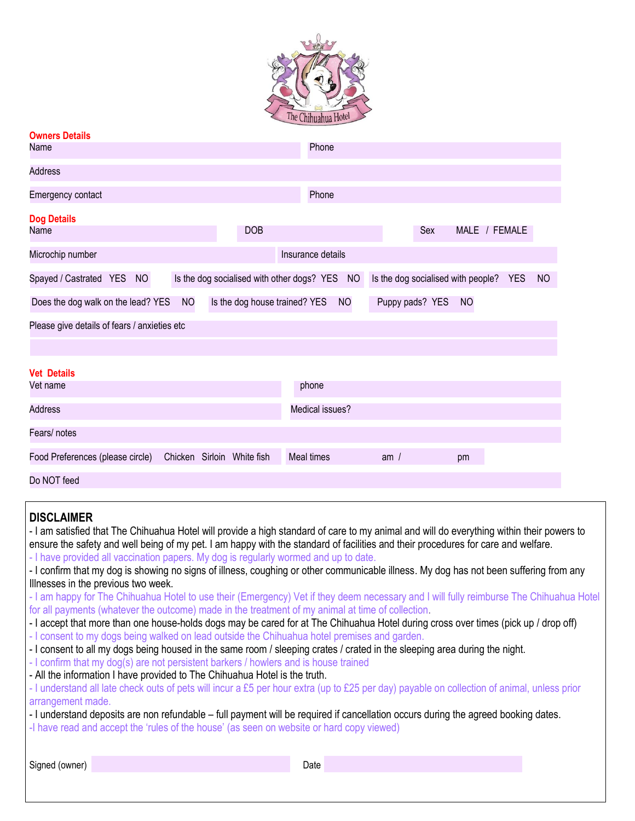

| <b>Owners Details</b>                        |                                                  |                                                               |
|----------------------------------------------|--------------------------------------------------|---------------------------------------------------------------|
| Name                                         | Phone                                            |                                                               |
| <b>Address</b>                               |                                                  |                                                               |
| Emergency contact                            | Phone                                            |                                                               |
| <b>Dog Details</b><br>Name                   | <b>DOB</b>                                       | MALE / FEMALE<br>Sex                                          |
| Microchip number                             | Insurance details                                |                                                               |
| Spayed / Castrated YES NO                    | Is the dog socialised with other dogs? YES NO    | <b>NO</b><br>Is the dog socialised with people?<br><b>YES</b> |
| Does the dog walk on the lead? YES           | <b>NO</b><br>Is the dog house trained? YES<br>NO | Puppy pads? YES<br>NO                                         |
| Please give details of fears / anxieties etc |                                                  |                                                               |
|                                              |                                                  |                                                               |
| <b>Vet Details</b>                           |                                                  |                                                               |
| Vet name                                     | phone                                            |                                                               |
| <b>Address</b>                               | Medical issues?                                  |                                                               |
| Fears/ notes                                 |                                                  |                                                               |
| Food Preferences (please circle)             | Chicken Sirloin White fish<br>Meal times         | am/<br>pm                                                     |
| Do NOT feed                                  |                                                  |                                                               |

## **DISCLAIMER**

| <b>UIUVLAIIILIV</b>                                                                                                                       |
|-------------------------------------------------------------------------------------------------------------------------------------------|
| - I am satisfied that The Chihuahua Hotel will provide a high standard of care to my animal and will do everything within their powers to |
| ensure the safety and well being of my pet. I am happy with the standard of facilities and their procedures for care and welfare.         |
| - I have provided all vaccination papers. My dog is regularly wormed and up to date.                                                      |
| - I confirm that my dog is showing no signs of illness, coughing or other communicable illness. My dog has not been suffering from any    |
| Illnesses in the previous two week.                                                                                                       |
| - I am happy for The Chihuahua Hotel to use their (Emergency) Vet if they deem necessary and I will fully reimburse The Chihuahua Hotel   |
| for all payments (whatever the outcome) made in the treatment of my animal at time of collection.                                         |
| - I accept that more than one house-holds dogs may be cared for at The Chihuahua Hotel during cross over times (pick up / drop off)       |
| - I consent to my dogs being walked on lead outside the Chihuahua hotel premises and garden.                                              |
| - I consent to all my dogs being housed in the same room / sleeping crates / crated in the sleeping area during the night.                |
| - I confirm that my dog(s) are not persistent barkers / howlers and is house trained                                                      |
| - All the information I have provided to The Chihuahua Hotel is the truth.                                                                |
|                                                                                                                                           |

- I understand all late check outs of pets will incur a £5 per hour extra (up to £25 per day) payable on collection of animal, unless prior arrangement made.

- I understand deposits are non refundable – full payment will be required if cancellation occurs during the agreed booking dates.

-I have read and accept the 'rules of the house' (as seen on website or hard copy viewed)

Signed (owner) Date Date Communication of the Communication of the Date Date Date